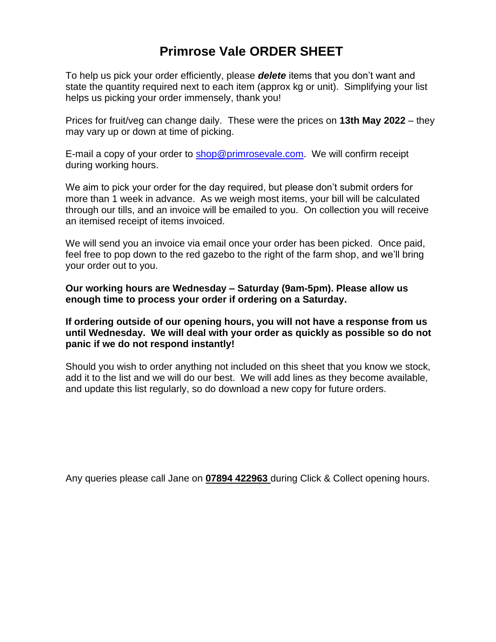# **Primrose Vale ORDER SHEET**

To help us pick your order efficiently, please *delete* items that you don't want and state the quantity required next to each item (approx kg or unit). Simplifying your list helps us picking your order immensely, thank you!

Prices for fruit/veg can change daily. These were the prices on **13th May 2022** – they may vary up or down at time of picking.

E-mail a copy of your order to [shop@primrosevale.com.](mailto:shop@primrosevale.com) We will confirm receipt during working hours.

We aim to pick your order for the day required, but please don't submit orders for more than 1 week in advance. As we weigh most items, your bill will be calculated through our tills, and an invoice will be emailed to you. On collection you will receive an itemised receipt of items invoiced.

We will send you an invoice via email once your order has been picked. Once paid, feel free to pop down to the red gazebo to the right of the farm shop, and we'll bring your order out to you.

**Our working hours are Wednesday – Saturday (9am-5pm). Please allow us enough time to process your order if ordering on a Saturday.**

**If ordering outside of our opening hours, you will not have a response from us until Wednesday. We will deal with your order as quickly as possible so do not panic if we do not respond instantly!**

Should you wish to order anything not included on this sheet that you know we stock, add it to the list and we will do our best. We will add lines as they become available, and update this list regularly, so do download a new copy for future orders.

Any queries please call Jane on **07894 422963** during Click & Collect opening hours.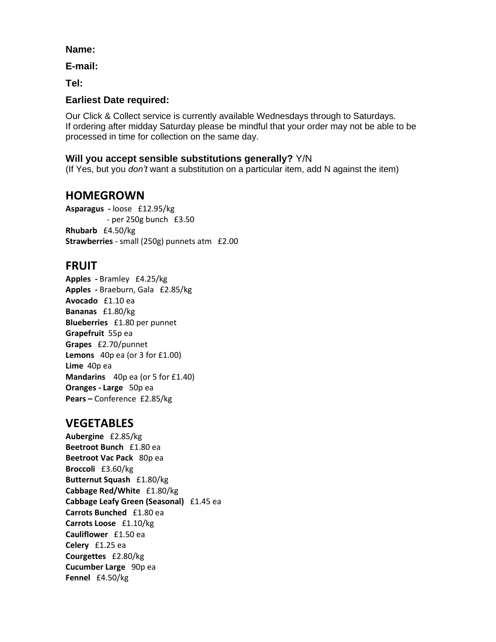#### **Name:**

**E-mail:**

**Tel:**

### **Earliest Date required:**

Our Click & Collect service is currently available Wednesdays through to Saturdays. If ordering after midday Saturday please be mindful that your order may not be able to be processed in time for collection on the same day.

#### **Will you accept sensible substitutions generally?** Y/N

(If Yes, but you *don't* want a substitution on a particular item, add N against the item)

## **HOMEGROWN**

**Asparagus -** loose £12.95/kg - per 250g bunch £3.50 **Rhubarb** £4.50/kg **Strawberries** - small (250g) punnets atm £2.00

### **FRUIT**

**Apples -** Bramley £4.25/kg **Apples -** Braeburn, Gala £2.85/kg **Avocado** £1.10 ea **Bananas** £1.80/kg **Blueberries** £1.80 per punnet **Grapefruit** 55p ea **Grapes** £2.70/punnet **Lemons** 40p ea (or 3 for £1.00) **Lime** 40p ea **Mandarins** 40p ea (or 5 for £1.40) **Oranges - Large** 50p ea **Pears –** Conference £2.85/kg

## **VEGETABLES**

**Aubergine** £2.85/kg **Beetroot Bunch** £1.80 ea **Beetroot Vac Pack** 80p ea **Broccoli** £3.60/kg **Butternut Squash** £1.80/kg **Cabbage Red/White** £1.80/kg **Cabbage Leafy Green (Seasonal)** £1.45 ea **Carrots Bunched** £1.80 ea **Carrots Loose** £1.10/kg **Cauliflower** £1.50 ea **Celery** £1.25 ea **Courgettes** £2.80/kg **Cucumber Large** 90p ea **Fennel** £4.50/kg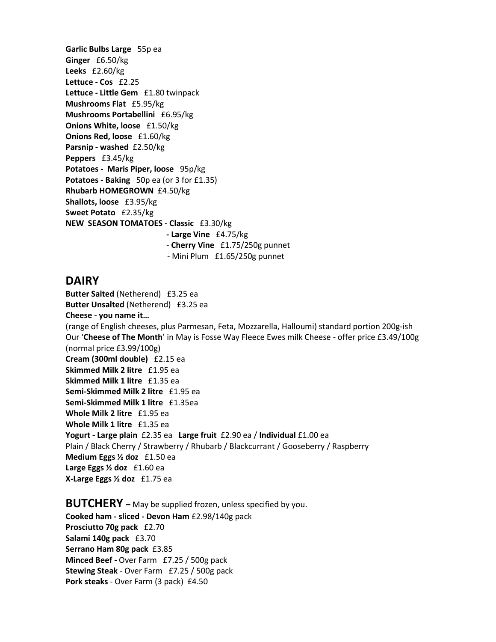**Garlic Bulbs Large** 55p ea **Ginger** £6.50/kg **Leeks** £2.60/kg **Lettuce - Cos** £2.25 **Lettuce - Little Gem** £1.80 twinpack **Mushrooms Flat** £5.95/kg **Mushrooms Portabellini** £6.95/kg **Onions White, loose** £1.50/kg **Onions Red, loose** £1.60/kg **Parsnip - washed** £2.50/kg **Peppers** £3.45/kg **Potatoes - Maris Piper, loose** 95p/kg **Potatoes - Baking** 50p ea (or 3 for £1.35) **Rhubarb HOMEGROWN** £4.50/kg **Shallots, loose** £3.95/kg **Sweet Potato** £2.35/kg **NEW SEASON TOMATOES - Classic** £3.30/kg  **- Large Vine** £4.75/kg - **Cherry Vine** £1.75/250g punnet

#### **DAIRY**

**Butter Salted** (Netherend)£3.25 ea **Butter Unsalted** (Netherend)£3.25 ea **Cheese - you name it…**  (range of English cheeses, plus Parmesan, Feta, Mozzarella, Halloumi) standard portion 200g-ish Our '**Cheese of The Month**' in May is Fosse Way Fleece Ewes milk Cheese - offer price £3.49/100g (normal price £3.99/100g) **Cream (300ml double)** £2.15 ea **Skimmed Milk 2 litre** £1.95 ea **Skimmed Milk 1 litre** £1.35 ea **Semi-Skimmed Milk 2 litre** £1.95 ea **Semi-Skimmed Milk 1 litre** £1.35ea **Whole Milk 2 litre** £1.95 ea **Whole Milk 1 litre** £1.35 ea **Yogurt - Large plain** £2.35 ea **Large fruit** £2.90 ea / **Individual** £1.00 ea Plain / Black Cherry / Strawberry / Rhubarb / Blackcurrant / Gooseberry / Raspberry **Medium Eggs ½ doz** £1.50 ea **Large Eggs ½ doz** £1.60 ea **X-Large Eggs ½ doz** £1.75 ea

- Mini Plum £1.65/250g punnet

**BUTCHERY –** May be supplied frozen, unless specified by you. **Cooked ham - sliced - Devon Ham** £2.98/140g pack **Prosciutto 70g pack** £2.70 **Salami 140g pack** £3.70 **Serrano Ham 80g pack** £3.85 **Minced Beef -** Over Farm £7.25 / 500g pack **Stewing Steak** - Over Farm £7.25 / 500g pack **Pork steaks** - Over Farm (3 pack) £4.50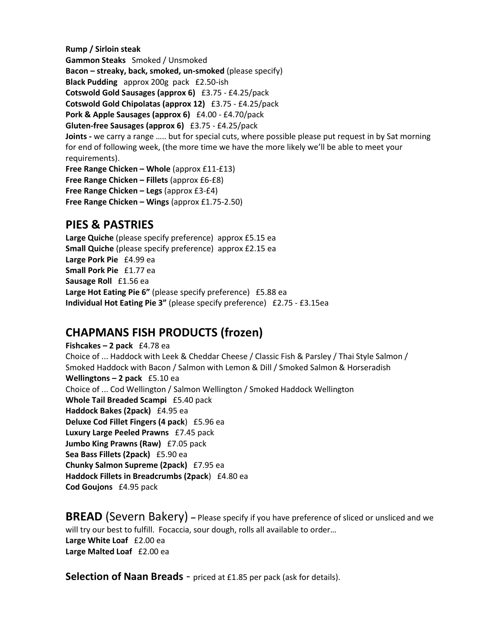**Rump / Sirloin steak Gammon Steaks** Smoked / Unsmoked **Bacon – streaky, back, smoked, un-smoked** (please specify) **Black Pudding** approx 200g pack £2.50-ish **Cotswold Gold Sausages (approx 6)** £3.75 - £4.25/pack **Cotswold Gold Chipolatas (approx 12)** £3.75 - £4.25/pack **Pork & Apple Sausages (approx 6)** £4.00 - £4.70/pack **Gluten-free Sausages (approx 6)** £3.75 - £4.25/pack **Joints -** we carry a range ….. but for special cuts, where possible please put request in by Sat morning for end of following week, (the more time we have the more likely we'll be able to meet your requirements). **Free Range Chicken – Whole** (approx £11-£13) **Free Range Chicken – Fillets** (approx £6-£8) **Free Range Chicken – Legs** (approx £3-£4) **Free Range Chicken – Wings** (approx £1.75-2.50)

## **PIES & PASTRIES**

**Large Quiche** (please specify preference) approx £5.15 ea **Small Quiche** (please specify preference) approx £2.15 ea **Large Pork Pie** £4.99 ea **Small Pork Pie** £1.77 ea **Sausage Roll** £1.56 ea **Large Hot Eating Pie 6"** (please specify preference) £5.88 ea **Individual Hot Eating Pie 3"** (please specify preference) £2.75 - £3.15ea

# **CHAPMANS FISH PRODUCTS (frozen)**

**Fishcakes – 2 pack** £4.78 ea Choice of ... Haddock with Leek & Cheddar Cheese / Classic Fish & Parsley / Thai Style Salmon / Smoked Haddock with Bacon / Salmon with Lemon & Dill / Smoked Salmon & Horseradish **Wellingtons – 2 pack** £5.10 ea Choice of ... Cod Wellington / Salmon Wellington / Smoked Haddock Wellington **Whole Tail Breaded Scampi** £5.40 pack **Haddock Bakes (2pack)** £4.95 ea **Deluxe Cod Fillet Fingers (4 pack**) £5.96 ea **Luxury Large Peeled Prawns** £7.45 pack **Jumbo King Prawns (Raw)** £7.05 pack **Sea Bass Fillets (2pack)** £5.90 ea **Chunky Salmon Supreme (2pack)** £7.95 ea **Haddock Fillets in Breadcrumbs (2pack**) £4.80 ea **Cod Goujons** £4.95 pack

**BREAD** (Severn Bakery) – Please specify if you have preference of sliced or unsliced and we will try our best to fulfill. Focaccia, sour dough, rolls all available to order… **Large White Loaf** £2.00 ea **Large Malted Loaf** £2.00 ea

**Selection of Naan Breads** - priced at £1.85 per pack (ask for details).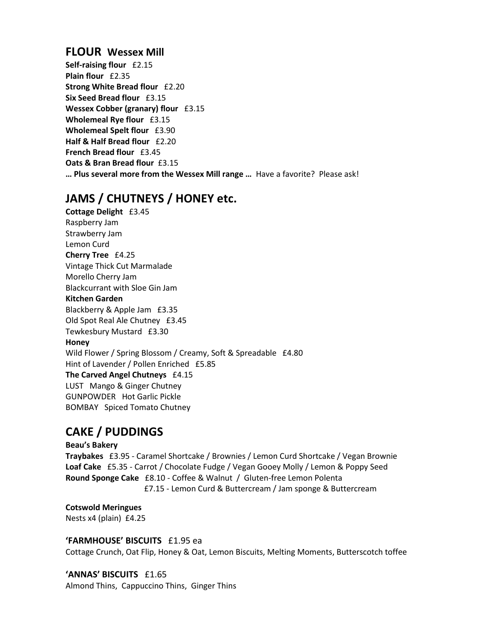### **FLOUR Wessex Mill**

**Self-raising flour** £2.15 **Plain flour** £2.35 **Strong White Bread flour** £2.20 **Six Seed Bread flour** £3.15 **Wessex Cobber (granary) flour** £3.15 **Wholemeal Rye flour** £3.15 **Wholemeal Spelt flour** £3.90 **Half & Half Bread flour** £2.20 **French Bread flour** £3.45 **Oats & Bran Bread flour** £3.15 **… Plus several more from the Wessex Mill range …** Have a favorite? Please ask!

# **JAMS / CHUTNEYS / HONEY etc.**

**Cottage Delight** £3.45 Raspberry Jam Strawberry Jam Lemon Curd **Cherry Tree** £4.25 Vintage Thick Cut Marmalade Morello Cherry Jam Blackcurrant with Sloe Gin Jam **Kitchen Garden**  Blackberry & Apple Jam £3.35 Old Spot Real Ale Chutney £3.45 Tewkesbury Mustard £3.30 **Honey**  Wild Flower / Spring Blossom / Creamy, Soft & Spreadable £4.80 Hint of Lavender / Pollen Enriched £5.85 **The Carved Angel Chutneys** £4.15 LUST Mango & Ginger Chutney GUNPOWDER Hot Garlic Pickle BOMBAY Spiced Tomato Chutney

# **CAKE / PUDDINGS**

#### **Beau's Bakery**

**Traybakes** £3.95 - Caramel Shortcake / Brownies / Lemon Curd Shortcake / Vegan Brownie **Loaf Cake** £5.35 - Carrot / Chocolate Fudge / Vegan Gooey Molly / Lemon & Poppy Seed **Round Sponge Cake** £8.10 - Coffee & Walnut / Gluten-free Lemon Polenta £7.15 - Lemon Curd & Buttercream / Jam sponge & Buttercream

**Cotswold Meringues** Nests x4 (plain) £4.25

#### **'FARMHOUSE' BISCUITS** £1.95 ea

Cottage Crunch, Oat Flip, Honey & Oat, Lemon Biscuits, Melting Moments, Butterscotch toffee

#### **'ANNAS' BISCUITS** £1.65

Almond Thins, Cappuccino Thins, Ginger Thins